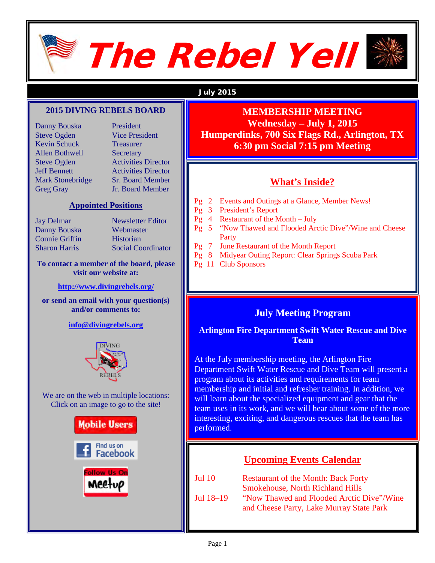

# The Rebel Yell



#### July 2015

#### **2015 DIVING REBELS BOARD**

Danny Bouska President Steve Ogden Vice President Kevin Schuck Treasurer Allen Bothwell Secretary

Steve Ogden Activities Director Jeff Bennett Activities Director Mark Stonebridge Sr. Board Member Greg Gray Jr. Board Member

#### **Appointed Positions**

Danny Bouska Webmaster Connie Griffin Historian

Jay Delmar Newsletter Editor Sharon Harris Social Coordinator

#### **To contact a member of the board, please visit our website at:**

**<http://www.divingrebels.org/>**

**or send an email with your question(s) and/or comments to:**

**[info@divingrebels.org](mailto:info@divingrebels.org)** 



We are on the web in multiple locations: Click on an image to go to the site!



## **MEMBERSHIP MEETING**

**Wednesday – July 1, 2015 Humperdinks, 700 Six Flags Rd., Arlington, TX 6:30 pm Social 7:15 pm Meeting**

#### **What's Inside?**

- Pg 2 Events and Outings at a Glance, Member News!
- Pg 3 President's Report
- Pg 4 Restaurant of the Month July
- Pg 5 "Now Thawed and Flooded Arctic Dive"/Wine and Cheese **Party**
- Pg 7 June Restaurant of the Month Report
- Pg 8 Midyear Outing Report: Clear Springs Scuba Park
- Pg 11 Club Sponsors

#### **July Meeting Program**

#### **Arlington Fire Department Swift Water Rescue and Dive Team**

At the July membership meeting, the Arlington Fire Department Swift Water Rescue and Dive Team will present a program about its activities and requirements for team membership and initial and refresher training. In addition, we will learn about the specialized equipment and gear that the team uses in its work, and we will hear about some of the more interesting, exciting, and dangerous rescues that the team has performed.

#### **Upcoming Events Calendar**

| Jul 10      | <b>Restaurant of the Month: Back Forty</b> |
|-------------|--------------------------------------------|
|             | <b>Smokehouse, North Richland Hills</b>    |
| Jul $18-19$ | "Now Thawed and Flooded Arctic Dive"/Wine  |
|             | and Cheese Party, Lake Murray State Park   |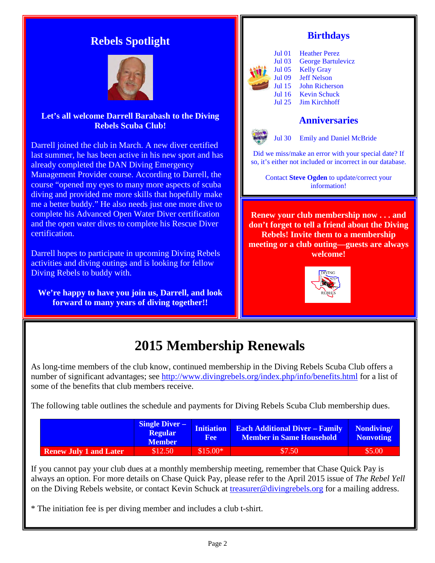### **Rebels Spotlight**



#### **Let's all welcome Darrell Barabash to the Diving Rebels Scuba Club!**

Darrell joined the club in March. A new diver certified last summer, he has been active in his new sport and has already completed the DAN Diving Emergency Management Provider course. According to Darrell, the course "opened my eyes to many more aspects of scuba diving and provided me more skills that hopefully make me a better buddy." He also needs just one more dive to complete his Advanced Open Water Diver certification and the open water dives to complete his Rescue Diver certification.

Darrell hopes to participate in upcoming Diving Rebels activities and diving outings and is looking for fellow Diving Rebels to buddy with.

**We're happy to have you join us, Darrell, and look forward to many years of diving together!!**

#### **Birthdays**



Jul 01 Heather Perez Jul 03 George Bartulevicz Jul 05 Kelly Gray Jul 09 Jeff Nelson Jul 15 John Richerson Jul 16 Kevin Schuck<br>Jul 25 Jim Kirchhoff Jim Kirchhoff

#### **Anniversaries**



Jul 30 Emily and Daniel McBride

Did we miss/make an error with your special date? If so, it's either not included or incorrect in our database.

Contact **Steve Ogden** to update/correct your information!

**Renew your club membership now . . . and don't forget to tell a friend about the Diving Rebels! Invite them to a membership meeting or a club outing—guests are always welcome!**



## **2015 Membership Renewals**

As long-time members of the club know, continued membership in the Diving Rebels Scuba Club offers a number of significant advantages; see<http://www.divingrebels.org/index.php/info/benefits.html> for a list of some of the benefits that club members receive.

The following table outlines the schedule and payments for Diving Rebels Scuba Club membership dues.

|                               | <b>Single Diver –</b><br><b>Regular</b><br><b>Member</b> | Fee       | <b>Initiation</b> Each Additional Diver - Family<br><b>Member in Same Household</b> | Nondiving/<br><b>Nonvoting</b> |
|-------------------------------|----------------------------------------------------------|-----------|-------------------------------------------------------------------------------------|--------------------------------|
| <b>Renew July 1 and Later</b> | \$12.50                                                  | $$15.00*$ | \$7.50                                                                              | \$5.00                         |

If you cannot pay your club dues at a monthly membership meeting, remember that Chase Quick Pay is always an option. For more details on Chase Quick Pay, please refer to the April 2015 issue of *The Rebel Yell* on the Diving Rebels website, or contact Kevin Schuck at [treasurer@divingrebels.org](mailto:treasurer@divingrebels.org) for a mailing address.

\* The initiation fee is per diving member and includes a club t-shirt.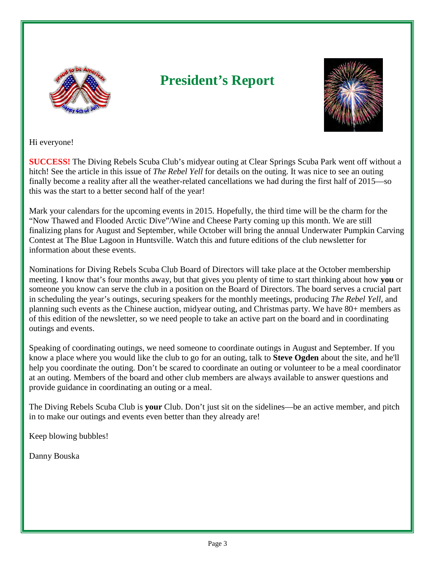

# **President's Report**



Hi everyone!

**SUCCESS!** The Diving Rebels Scuba Club's midyear outing at Clear Springs Scuba Park went off without a hitch! See the article in this issue of *The Rebel Yell* for details on the outing. It was nice to see an outing finally become a reality after all the weather-related cancellations we had during the first half of 2015—so this was the start to a better second half of the year!

Mark your calendars for the upcoming events in 2015. Hopefully, the third time will be the charm for the "Now Thawed and Flooded Arctic Dive"/Wine and Cheese Party coming up this month. We are still finalizing plans for August and September, while October will bring the annual Underwater Pumpkin Carving Contest at The Blue Lagoon in Huntsville. Watch this and future editions of the club newsletter for information about these events.

Nominations for Diving Rebels Scuba Club Board of Directors will take place at the October membership meeting. I know that's four months away, but that gives you plenty of time to start thinking about how **you** or someone you know can serve the club in a position on the Board of Directors. The board serves a crucial part in scheduling the year's outings, securing speakers for the monthly meetings, producing *The Rebel Yell,* and planning such events as the Chinese auction, midyear outing, and Christmas party. We have 80+ members as of this edition of the newsletter, so we need people to take an active part on the board and in coordinating outings and events.

Speaking of coordinating outings, we need someone to coordinate outings in August and September. If you know a place where you would like the club to go for an outing, talk to **Steve Ogden** about the site, and he'll help you coordinate the outing. Don't be scared to coordinate an outing or volunteer to be a meal coordinator at an outing. Members of the board and other club members are always available to answer questions and provide guidance in coordinating an outing or a meal.

The Diving Rebels Scuba Club is **your** Club. Don't just sit on the sidelines—be an active member, and pitch in to make our outings and events even better than they already are!

Keep blowing bubbles!

Danny Bouska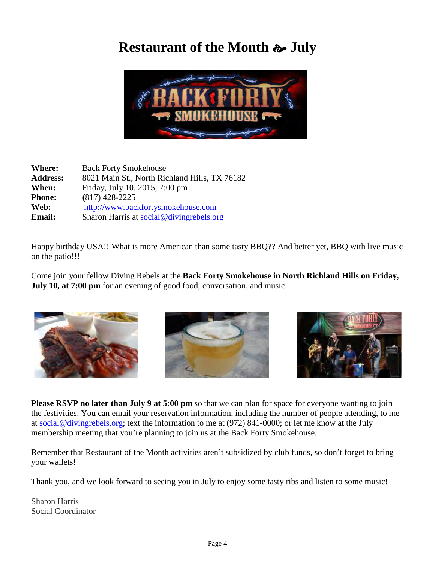## **Restaurant of the Month July**



| <b>Back Forty Smokehouse</b>                  |
|-----------------------------------------------|
| 8021 Main St., North Richland Hills, TX 76182 |
| Friday, July 10, 2015, 7:00 pm                |
| $(817)$ 428-2225                              |
| http://www.backfortysmokehouse.com            |
| Sharon Harris at social@divingrebels.org      |
|                                               |

Happy birthday USA!! What is more American than some tasty BBQ?? And better yet, BBQ with live music on the patio!!!

Come join your fellow Diving Rebels at the **Back Forty Smokehouse in North Richland Hills on Friday, July 10, at 7:00 pm** for an evening of good food, conversation, and music.







**Please RSVP no later than July 9 at 5:00 pm** so that we can plan for space for everyone wanting to join the festivities. You can email your reservation information, including the number of people attending, to me at [social@divingrebels.org;](mailto:social@divingrebels.org) text the information to me at (972) 841-0000; or let me know at the July membership meeting that you're planning to join us at the Back Forty Smokehouse.

Remember that Restaurant of the Month activities aren't subsidized by club funds, so don't forget to bring your wallets!

Thank you, and we look forward to seeing you in July to enjoy some tasty ribs and listen to some music!

Sharon Harris Social Coordinator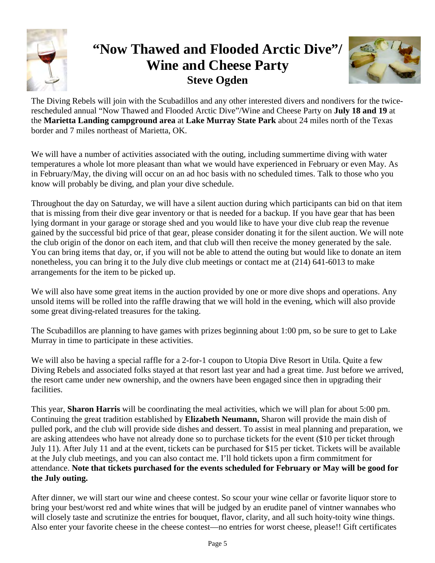

# **"Now Thawed and Flooded Arctic Dive"/ Wine and Cheese Party Steve Ogden**



The Diving Rebels will join with the Scubadillos and any other interested divers and nondivers for the twicerescheduled annual "Now Thawed and Flooded Arctic Dive"/Wine and Cheese Party on **July 18 and 19** at the **Marietta Landing campground area** at **Lake Murray State Park** about 24 miles north of the Texas border and 7 miles northeast of Marietta, OK.

We will have a number of activities associated with the outing, including summertime diving with water temperatures a whole lot more pleasant than what we would have experienced in February or even May. As in February/May, the diving will occur on an ad hoc basis with no scheduled times. Talk to those who you know will probably be diving, and plan your dive schedule.

Throughout the day on Saturday, we will have a silent auction during which participants can bid on that item that is missing from their dive gear inventory or that is needed for a backup. If you have gear that has been lying dormant in your garage or storage shed and you would like to have your dive club reap the revenue gained by the successful bid price of that gear, please consider donating it for the silent auction. We will note the club origin of the donor on each item, and that club will then receive the money generated by the sale. You can bring items that day, or, if you will not be able to attend the outing but would like to donate an item nonetheless, you can bring it to the July dive club meetings or contact me at (214) 641-6013 to make arrangements for the item to be picked up.

We will also have some great items in the auction provided by one or more dive shops and operations. Any unsold items will be rolled into the raffle drawing that we will hold in the evening, which will also provide some great diving-related treasures for the taking.

The Scubadillos are planning to have games with prizes beginning about 1:00 pm, so be sure to get to Lake Murray in time to participate in these activities.

We will also be having a special raffle for a 2-for-1 coupon to Utopia Dive Resort in Utila. Quite a few Diving Rebels and associated folks stayed at that resort last year and had a great time. Just before we arrived, the resort came under new ownership, and the owners have been engaged since then in upgrading their facilities.

This year, **Sharon Harris** will be coordinating the meal activities, which we will plan for about 5:00 pm. Continuing the great tradition established by **Elizabeth Neumann,** Sharon will provide the main dish of pulled pork, and the club will provide side dishes and dessert. To assist in meal planning and preparation, we are asking attendees who have not already done so to purchase tickets for the event (\$10 per ticket through July 11). After July 11 and at the event, tickets can be purchased for \$15 per ticket. Tickets will be available at the July club meetings, and you can also contact me. I'll hold tickets upon a firm commitment for attendance. **Note that tickets purchased for the events scheduled for February or May will be good for the July outing.** 

After dinner, we will start our wine and cheese contest. So scour your wine cellar or favorite liquor store to bring your best/worst red and white wines that will be judged by an erudite panel of vintner wannabes who will closely taste and scrutinize the entries for bouquet, flavor, clarity, and all such hoity-toity wine things. Also enter your favorite cheese in the cheese contest—no entries for worst cheese, please!! Gift certificates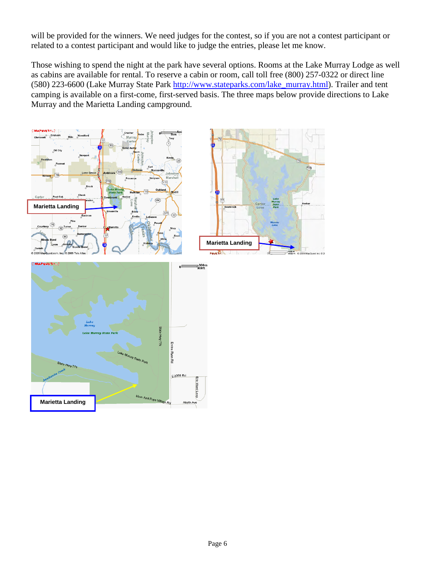will be provided for the winners. We need judges for the contest, so if you are not a contest participant or related to a contest participant and would like to judge the entries, please let me know.

Those wishing to spend the night at the park have several options. Rooms at the Lake Murray Lodge as well as cabins are available for rental. To reserve a cabin or room, call toll free (800) 257-0322 or direct line (580) 223-6600 (Lake Murray State Park [http://www.stateparks.com/lake\\_murray.html\)](http://www.stateparks.com/lake_murray.html). Trailer and tent camping is available on a first-come, first-served basis. The three maps below provide directions to Lake Murray and the Marietta Landing campground.



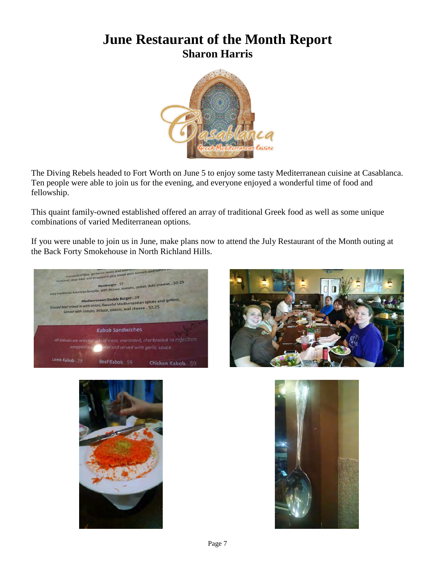## **June Restaurant of the Month Report Sharon Harris**



The Diving Rebels headed to Fort Worth on June 5 to enjoy some tasty Mediterranean cuisine at Casablanca. Ten people were able to join us for the evening, and everyone enjoyed a wonderful time of food and fellowship.

This quaint family-owned established offered an array of traditional Greek food as well as some unique combinations of varied Mediterranean options.

If you were unable to join us in June, make plans now to attend the July Restaurant of the Month outing at the Back Forty Smokehouse in North Richland Hills.







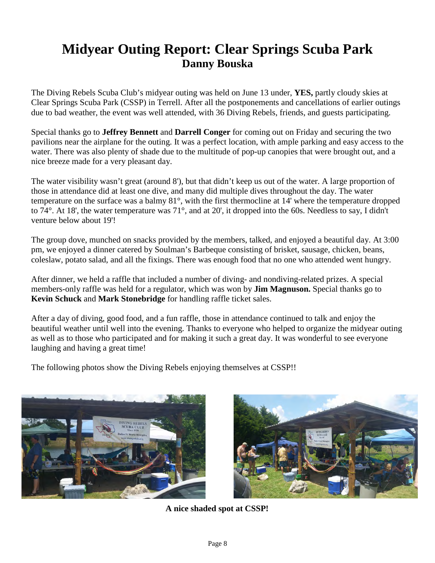## **Midyear Outing Report: Clear Springs Scuba Park Danny Bouska**

The Diving Rebels Scuba Club's midyear outing was held on June 13 under, **YES,** partly cloudy skies at Clear Springs Scuba Park (CSSP) in Terrell. After all the postponements and cancellations of earlier outings due to bad weather, the event was well attended, with 36 Diving Rebels, friends, and guests participating.

Special thanks go to **Jeffrey Bennett** and **Darrell Conger** for coming out on Friday and securing the two pavilions near the airplane for the outing. It was a perfect location, with ample parking and easy access to the water. There was also plenty of shade due to the multitude of pop-up canopies that were brought out, and a nice breeze made for a very pleasant day.

The water visibility wasn't great (around 8'), but that didn't keep us out of the water. A large proportion of those in attendance did at least one dive, and many did multiple dives throughout the day. The water temperature on the surface was a balmy 81°, with the first thermocline at 14' where the temperature dropped to 74°. At 18', the water temperature was 71°, and at 20', it dropped into the 60s. Needless to say, I didn't venture below about 19'!

The group dove, munched on snacks provided by the members, talked, and enjoyed a beautiful day. At 3:00 pm, we enjoyed a dinner catered by Soulman's Barbeque consisting of brisket, sausage, chicken, beans, coleslaw, potato salad, and all the fixings. There was enough food that no one who attended went hungry.

After dinner, we held a raffle that included a number of diving- and nondiving-related prizes. A special members-only raffle was held for a regulator, which was won by **Jim Magnuson.** Special thanks go to **Kevin Schuck** and **Mark Stonebridge** for handling raffle ticket sales.

After a day of diving, good food, and a fun raffle, those in attendance continued to talk and enjoy the beautiful weather until well into the evening. Thanks to everyone who helped to organize the midyear outing as well as to those who participated and for making it such a great day. It was wonderful to see everyone laughing and having a great time!

The following photos show the Diving Rebels enjoying themselves at CSSP!!





**A nice shaded spot at CSSP!**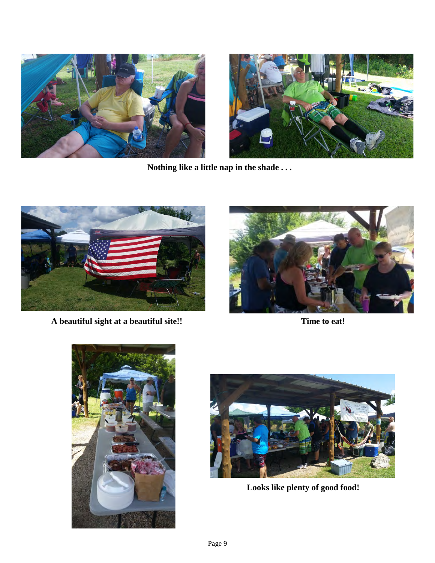



**Nothing like a little nap in the shade . . .**



**A beautiful sight at a beautiful site!! Time to eat!**







**Looks like plenty of good food!**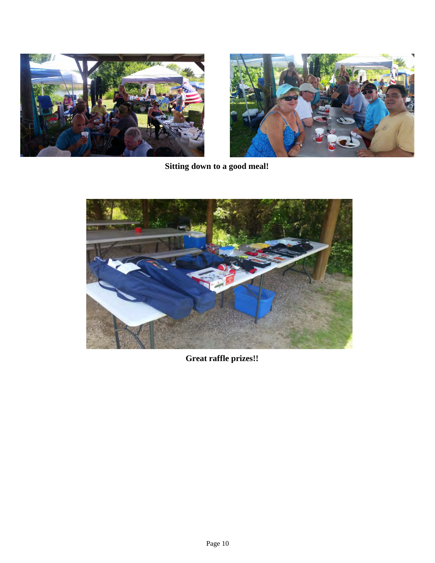



**Sitting down to a good meal!**



**Great raffle prizes!!**